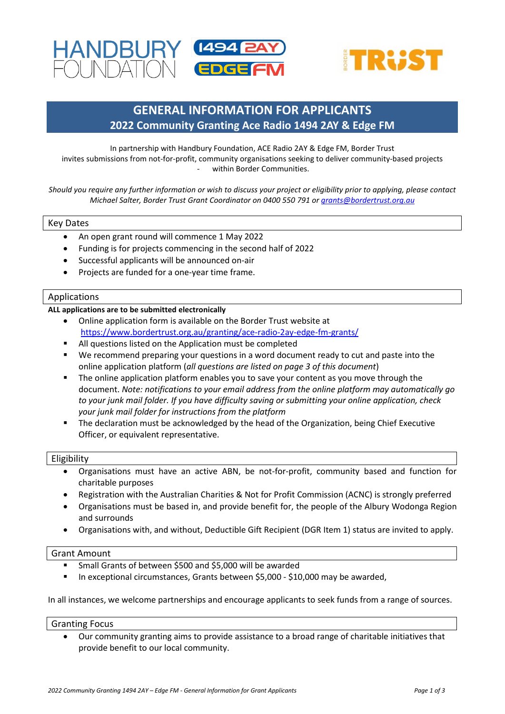



# **GENERAL INFORMATION FOR APPLICANTS 2022 Community Granting Ace Radio 1494 2AY & Edge FM**

In partnership with Handbury Foundation, ACE Radio 2AY & Edge FM, Border Trust invites submissions from not-for-profit, community organisations seeking to deliver community-based projects within Border Communities.

*Should you require any further information or wish to discuss your project or eligibility prior to applying, please contact Michael Salter, Border Trust Grant Coordinator on 0400 550 791 or [grants@bordertrust.org.au](mailto:grants@bordertrust.org.au)*

#### Key Dates

 $\mathbb{F}_p$  is a set of  $\mathbb{F}_p$ 

- An open grant round will commence 1 May 2022
- Funding is for projects commencing in the second half of 2022
- Successful applicants will be announced on-air
- Projects are funded for a one-year time frame.

#### Applications

#### **ALL applications are to be submitted electronically**

- Online application form is available on the Border Trust website at <https://www.bordertrust.org.au/granting/ace-radio-2ay-edge-fm-grants/>
- All questions listed on the Application must be completed
- We recommend preparing your questions in a word document ready to cut and paste into the online application platform (*all questions are listed on page 3 of this document*)
- The online application platform enables you to save your content as you move through the document. *Note: notifications to your email address from the online platform may automatically go to your junk mail folder. If you have difficulty saving or submitting your online application, check your junk mail folder for instructions from the platform*
- The declaration must be acknowledged by the head of the Organization, being Chief Executive Officer, or equivalent representative.

#### Eligibility

- Organisations must have an active ABN, be not-for-profit, community based and function for charitable purposes
- Registration with the Australian Charities & Not for Profit Commission (ACNC) is strongly preferred
- Organisations must be based in, and provide benefit for, the people of the Albury Wodonga Region and surrounds
- Organisations with, and without, Deductible Gift Recipient (DGR Item 1) status are invited to apply.

#### Grant Amount

- Small Grants of between \$500 and \$5,000 will be awarded
- In exceptional circumstances, Grants between \$5,000 \$10,000 may be awarded,

In all instances, we welcome partnerships and encourage applicants to seek funds from a range of sources.

#### Granting Focus

• Our community granting aims to provide assistance to a broad range of charitable initiatives that provide benefit to our local community.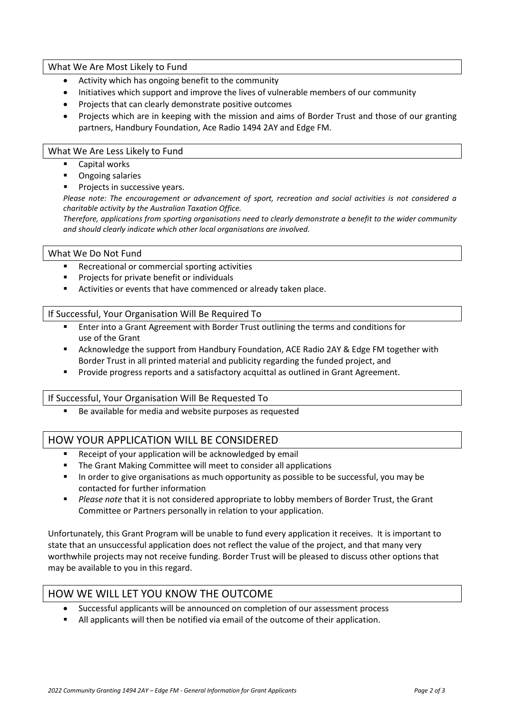## What We Are Most Likely to Fund

- Activity which has ongoing benefit to the community
- Initiatives which support and improve the lives of vulnerable members of our community
- Projects that can clearly demonstrate positive outcomes
- Projects which are in keeping with the mission and aims of Border Trust and those of our granting partners, Handbury Foundation, Ace Radio 1494 2AY and Edge FM.

### What We Are Less Likely to Fund

- Capital works
- **•** Ongoing salaries
- **Projects in successive years.**

*Please note: The encouragement or advancement of sport, recreation and social activities is not considered a charitable activity by the Australian Taxation Office.* 

*Therefore, applications from sporting organisations need to clearly demonstrate a benefit to the wider community and should clearly indicate which other local organisations are involved.*

### What We Do Not Fund

- **Recreational or commercial sporting activities**
- **Projects for private benefit or individuals**
- Activities or events that have commenced or already taken place.

# If Successful, Your Organisation Will Be Required To

- Enter into a Grant Agreement with Border Trust outlining the terms and conditions for use of the Grant
- Acknowledge the support from Handbury Foundation, ACE Radio 2AY & Edge FM together with Border Trust in all printed material and publicity regarding the funded project, and
- **Provide progress reports and a satisfactory acquittal as outlined in Grant Agreement.**

### If Successful, Your Organisation Will Be Requested To

Be available for media and website purposes as requested

# HOW YOUR APPLICATION WILL BE CONSIDERED

- Receipt of your application will be acknowledged by email
- **The Grant Making Committee will meet to consider all applications**
- **In order to give organisations as much opportunity as possible to be successful, you may be** contacted for further information
- *Please note* that it is not considered appropriate to lobby members of Border Trust, the Grant Committee or Partners personally in relation to your application.

Unfortunately, this Grant Program will be unable to fund every application it receives. It is important to state that an unsuccessful application does not reflect the value of the project, and that many very worthwhile projects may not receive funding. Border Trust will be pleased to discuss other options that may be available to you in this regard.

# HOW WE WILL LET YOU KNOW THE OUTCOME

- Successful applicants will be announced on completion of our assessment process
- All applicants will then be notified via email of the outcome of their application.